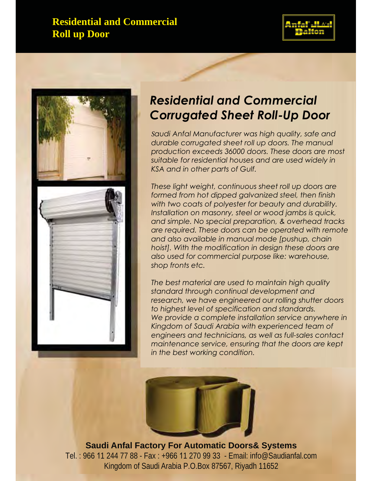# **Residential and Commercial** K.S.A & Gulf Region **Roll up Door**





# *Residential and Commercial Corrugated Sheet Roll-Up Door*

*Saudi Anfal Manufacturer was high quality, safe and durable corrugated sheet roll up doors. The manual production exceeds 36000 doors. These doors are most suitable for residential houses and are used widely in KSA and in other parts of Gulf.*

*These light weight, continuous sheet roll up doors are formed from hot dipped galvanized steel, then finish with two coats of polyester for beauty and durability. Installation on masonry, steel or wood jambs is quick, and simple. No special preparation, & overhead tracks are required. These doors can be operated with remote and also available in manual mode [pushup, chain hoist]. With the modification in design these doors are also used for commercial purpose like: warehouse, shop fronts etc.*

*The best material are used to maintain high quality standard through continual development and research, we have engineered our rolling shutter doors to highest level of specification and standards. We provide a complete installation service anywhere in Kingdom of Saudi Arabia with experienced team of engineers and technicians, as well as full-sales contact maintenance service, ensuring that the doors are kept in the best working condition.*



**Saudi Anfal Factory For Automatic Doors& Systems** Tel. : 966 11 244 77 88 - Fax : +966 11 270 99 33 - Email: info@Saudianfal.com Kingdom of Saudi Arabia P.O.Box 87567, Riyadh 11652